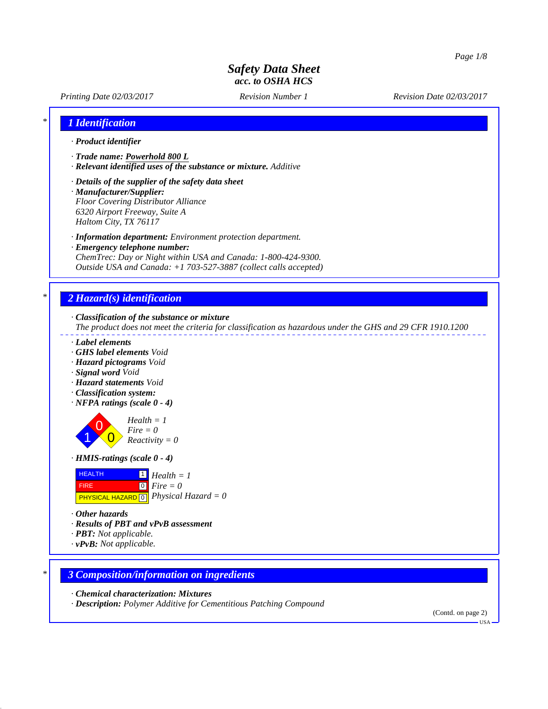

USA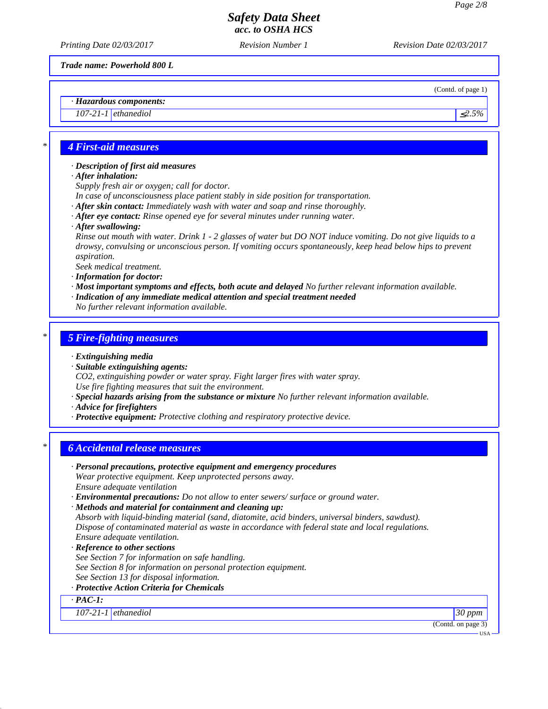*Trade name: Powerhold 800 L*

(Contd. of page 1)

*· Hazardous components:*

*107-21-1* ethanediol ≤2.5% ≤ 2.5%

#### *\* 4 First-aid measures*

*· Description of first aid measures*

*· After inhalation:*

*Supply fresh air or oxygen; call for doctor.*

*In case of unconsciousness place patient stably in side position for transportation.*

- *· After skin contact: Immediately wash with water and soap and rinse thoroughly.*
- *· After eye contact: Rinse opened eye for several minutes under running water.*
- *· After swallowing:*

*Rinse out mouth with water. Drink 1 - 2 glasses of water but DO NOT induce vomiting. Do not give liquids to a drowsy, convulsing or unconscious person. If vomiting occurs spontaneously, keep head below hips to prevent aspiration.*

*Seek medical treatment.*

*· Information for doctor:*

*· Most important symptoms and effects, both acute and delayed No further relevant information available. · Indication of any immediate medical attention and special treatment needed*

*No further relevant information available.*

#### *\* 5 Fire-fighting measures*

*· Extinguishing media*

*· Suitable extinguishing agents:*

*CO2, extinguishing powder or water spray. Fight larger fires with water spray.*

*Use fire fighting measures that suit the environment.*

*· Special hazards arising from the substance or mixture No further relevant information available.*

*· Advice for firefighters*

*· Protective equipment: Protective clothing and respiratory protective device.*

#### *\* 6 Accidental release measures*

*· Personal precautions, protective equipment and emergency procedures Wear protective equipment. Keep unprotected persons away. Ensure adequate ventilation · Environmental precautions: Do not allow to enter sewers/ surface or ground water. · Methods and material for containment and cleaning up: Absorb with liquid-binding material (sand, diatomite, acid binders, universal binders, sawdust). Dispose of contaminated material as waste in accordance with federal state and local regulations. Ensure adequate ventilation.*

*· Reference to other sections See Section 7 for information on safe handling. See Section 8 for information on personal protection equipment. See Section 13 for disposal information.*

*· Protective Action Criteria for Chemicals*

*· PAC-1:*

*107-21-1 ethanediol 30 ppm*

(Contd. on page 3)

USA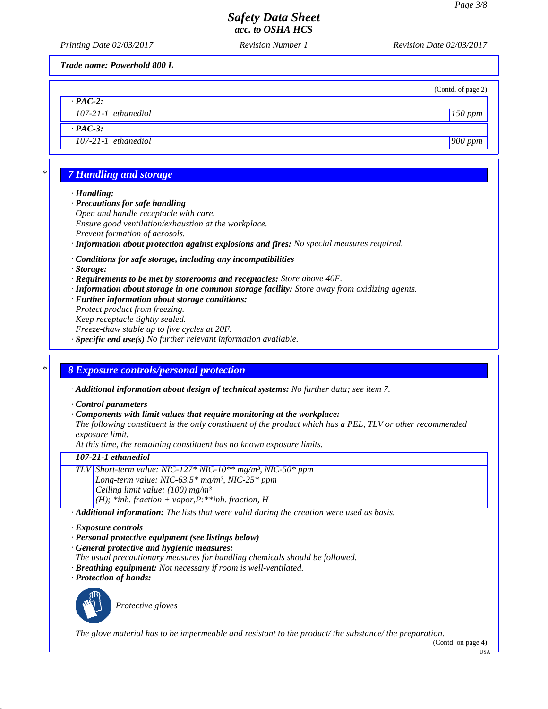*Printing Date 02/03/2017 Revision Number 1 Revision Date 02/03/2017*

*Trade name: Powerhold 800 L*

(Contd. of page 2)

|                       | (Contd. of page) |
|-----------------------|------------------|
| $\cdot$ PAC-2:        |                  |
| $107-21-1$ ethanediol | $150$ ppm        |

*· PAC-3:*

*107-21-1 ethanediol 900 ppm*

# *\* 7 Handling and storage*

*· Handling:*

- *· Precautions for safe handling Open and handle receptacle with care. Ensure good ventilation/exhaustion at the workplace. Prevent formation of aerosols.*
- *· Information about protection against explosions and fires: No special measures required.*
- *· Conditions for safe storage, including any incompatibilities*

*· Storage:*

- *· Requirements to be met by storerooms and receptacles: Store above 40F.*
- *· Information about storage in one common storage facility: Store away from oxidizing agents.*
- *· Further information about storage conditions: Protect product from freezing.*

*Keep receptacle tightly sealed.*

*Freeze-thaw stable up to five cycles at 20F.*

*· Specific end use(s) No further relevant information available.*

### *\* 8 Exposure controls/personal protection*

*· Additional information about design of technical systems: No further data; see item 7.*

*· Control parameters*

*· Components with limit values that require monitoring at the workplace:*

*The following constituent is the only constituent of the product which has a PEL, TLV or other recommended exposure limit.*

*At this time, the remaining constituent has no known exposure limits.*

### *107-21-1 ethanediol*

*TLV Short-term value: NIC-127\* NIC-10\*\* mg/m³, NIC-50\* ppm Long-term value: NIC-63.5\* mg/m³, NIC-25\* ppm Ceiling limit value: (100) mg/m³ (H); \*inh. fraction + vapor,P:\*\*inh. fraction, H*

*· Additional information: The lists that were valid during the creation were used as basis.*

#### *· Exposure controls*

- *· Personal protective equipment (see listings below)*
- *· General protective and hygienic measures:*
- *The usual precautionary measures for handling chemicals should be followed.*
- *· Breathing equipment: Not necessary if room is well-ventilated.*
- *· Protection of hands:*



*Protective gloves*

*The glove material has to be impermeable and resistant to the product/ the substance/ the preparation.*

(Contd. on page 4)

USA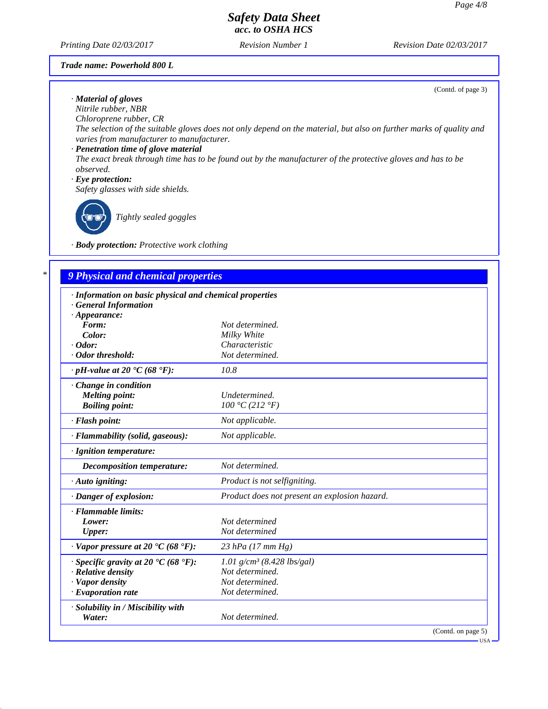*Printing Date 02/03/2017 Revision Number 1 Revision Date 02/03/2017*

#### *Trade name: Powerhold 800 L*

(Contd. of page 3)

USA

*· Material of gloves Nitrile rubber, NBR*

*Chloroprene rubber, CR*

*The selection of the suitable gloves does not only depend on the material, but also on further marks of quality and varies from manufacturer to manufacturer.*

*· Penetration time of glove material*

*The exact break through time has to be found out by the manufacturer of the protective gloves and has to be observed.*

*· Eye protection:*

*Safety glasses with side shields.*



*Tightly sealed goggles*

*· Body protection: Protective work clothing*

# *\* 9 Physical and chemical properties*

| · Information on basic physical and chemical properties<br><b>General Information</b> |                                               |
|---------------------------------------------------------------------------------------|-----------------------------------------------|
| $\cdot$ Appearance:                                                                   |                                               |
| Form:                                                                                 | Not determined.                               |
| Color:                                                                                | Milky White                                   |
| $\cdot$ Odor:                                                                         | Characteristic                                |
| · Odor threshold:                                                                     | Not determined.                               |
| $\cdot$ pH-value at 20 $\textdegree$ C (68 $\textdegree$ F):                          | 10.8                                          |
| $\cdot$ Change in condition                                                           |                                               |
| <b>Melting point:</b>                                                                 | Undetermined.                                 |
| <b>Boiling point:</b>                                                                 | 100 °C (212 °F)                               |
| · Flash point:                                                                        | Not applicable.                               |
| · Flammability (solid, gaseous):                                                      | Not applicable.                               |
| · Ignition temperature:                                                               |                                               |
| Decomposition temperature:                                                            | Not determined.                               |
| $\cdot$ Auto igniting:                                                                | Product is not selfigniting.                  |
| · Danger of explosion:                                                                | Product does not present an explosion hazard. |
| · Flammable limits:                                                                   |                                               |
| Lower:                                                                                | Not determined                                |
| <b>Upper:</b>                                                                         | Not determined                                |
| $\cdot$ Vapor pressure at 20 $\cdot$ C (68 $\cdot$ F):                                | 23 hPa $(17 \, \text{mm Hg})$                 |
| $\cdot$ Specific gravity at 20 °C (68 °F):                                            | 1.01 $g/cm^3$ (8.428 lbs/gal)                 |
| $\cdot$ Relative density                                                              | Not determined.                               |
| · Vapor density                                                                       | Not determined.                               |
| $\cdot$ Evaporation rate                                                              | Not determined.                               |
| · Solubility in / Miscibility with                                                    |                                               |
| Water:                                                                                | Not determined.                               |
|                                                                                       | (Contd. on page 5)                            |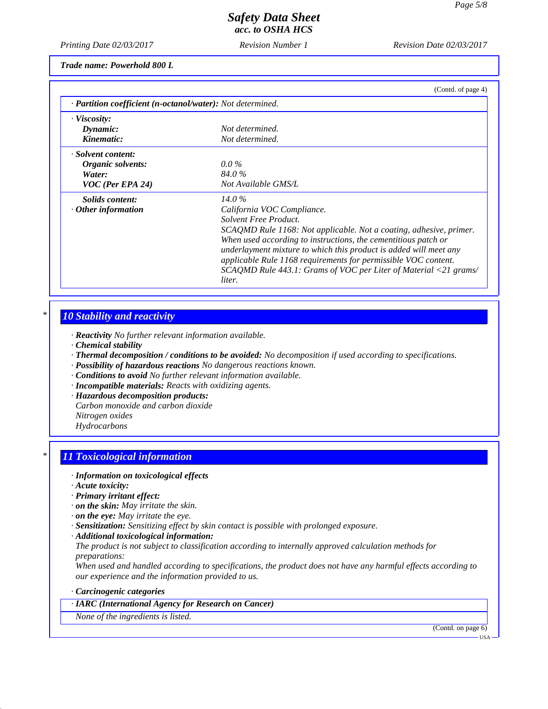*Printing Date 02/03/2017 Revision Number 1 Revision Date 02/03/2017*

*Trade name: Powerhold 800 L*

| (Contd. of page 4)                                                 |
|--------------------------------------------------------------------|
| · Partition coefficient (n-octanol/water): Not determined.         |
|                                                                    |
| Not determined.                                                    |
| Not determined.                                                    |
|                                                                    |
| $0.0\%$                                                            |
| 84.0%                                                              |
| Not Available GMS/L                                                |
| $14.0\%$                                                           |
| California VOC Compliance.                                         |
| Solvent Free Product.                                              |
| SCAQMD Rule 1168: Not applicable. Not a coating, adhesive, primer. |
| When used according to instructions, the cementitious patch or     |
| underlayment mixture to which this product is added will meet any  |
| applicable Rule 1168 requirements for permissible VOC content.     |
| SCAQMD Rule 443.1: Grams of VOC per Liter of Material <21 grams/   |
| liter.                                                             |
|                                                                    |

### *\* 10 Stability and reactivity*

- *· Reactivity No further relevant information available.*
- *· Chemical stability*
- *· Thermal decomposition / conditions to be avoided: No decomposition if used according to specifications.*
- *· Possibility of hazardous reactions No dangerous reactions known.*
- *· Conditions to avoid No further relevant information available.*
- *· Incompatible materials: Reacts with oxidizing agents.*
- *· Hazardous decomposition products:*
- *Carbon monoxide and carbon dioxide*
- *Nitrogen oxides*
- *Hydrocarbons*

### *\* 11 Toxicological information*

- *· Information on toxicological effects*
- *· Acute toxicity:*
- *· Primary irritant effect:*
- *· on the skin: May irritate the skin.*
- *· on the eye: May irritate the eye.*
- *· Sensitization: Sensitizing effect by skin contact is possible with prolonged exposure.*
- *· Additional toxicological information:*

*The product is not subject to classification according to internally approved calculation methods for preparations:*

*When used and handled according to specifications, the product does not have any harmful effects according to our experience and the information provided to us.*

#### *· Carcinogenic categories*

*· IARC (International Agency for Research on Cancer)*

*None of the ingredients is listed.*

(Contd. on page 6)

USA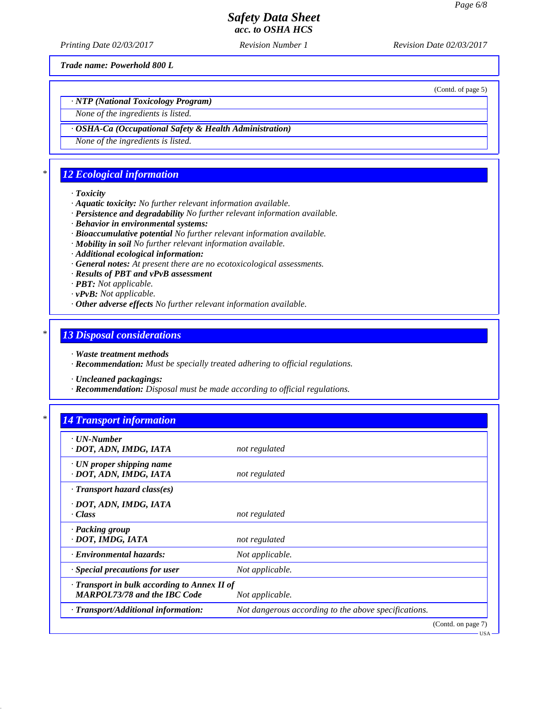*Printing Date 02/03/2017 Revision Number 1 Revision Date 02/03/2017*

*Trade name: Powerhold 800 L*

(Contd. of page 5)

USA

*· NTP (National Toxicology Program)*

*None of the ingredients is listed.*

*· OSHA-Ca (Occupational Safety & Health Administration)*

*None of the ingredients is listed.*

# *\* 12 Ecological information*

*· Toxicity*

- *· Aquatic toxicity: No further relevant information available.*
- *· Persistence and degradability No further relevant information available.*
- *· Behavior in environmental systems:*
- *· Bioaccumulative potential No further relevant information available.*
- *· Mobility in soil No further relevant information available.*
- *· Additional ecological information:*
- *· General notes: At present there are no ecotoxicological assessments.*
- *· Results of PBT and vPvB assessment*
- *· PBT: Not applicable.*
- *· vPvB: Not applicable.*
- *· Other adverse effects No further relevant information available.*

### *\* 13 Disposal considerations*

- *· Waste treatment methods*
- *· Recommendation: Must be specially treated adhering to official regulations.*
- *· Uncleaned packagings:*
- *· Recommendation: Disposal must be made according to official regulations.*

| · UN-Number                                  |                                                      |
|----------------------------------------------|------------------------------------------------------|
| · DOT, ADN, IMDG, IATA                       | not regulated                                        |
| $\cdot$ UN proper shipping name              |                                                      |
| · DOT, ADN, IMDG, IATA                       | not regulated                                        |
| $\cdot$ Transport hazard class(es)           |                                                      |
| · DOT, ADN, IMDG, IATA                       |                                                      |
| $\cdot Class$                                | not regulated                                        |
| · Packing group                              |                                                      |
| · DOT, IMDG, IATA                            | not regulated                                        |
| <b>Environmental hazards:</b>                | Not applicable.                                      |
| · Special precautions for user               | Not applicable.                                      |
| · Transport in bulk according to Annex II of |                                                      |
| <b>MARPOL73/78 and the IBC Code</b>          | Not applicable.                                      |
| · Transport/Additional information:          | Not dangerous according to the above specifications. |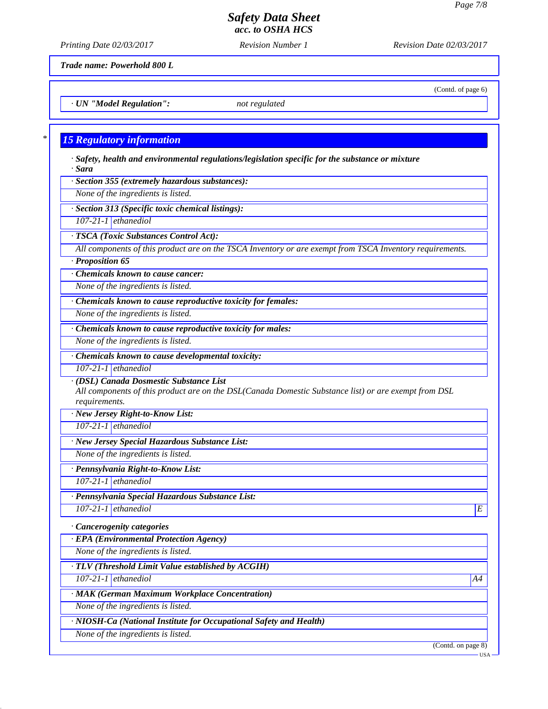(Contd. of page 6)

## *Safety Data Sheet acc. to OSHA HCS*

*Printing Date 02/03/2017 Revision Number 1 Revision Date 02/03/2017*

*Trade name: Powerhold 800 L*

*· UN "Model Regulation": not regulated*

#### *\* 15 Regulatory information*

*· Safety, health and environmental regulations/legislation specific for the substance or mixture · Sara*

*· Section 355 (extremely hazardous substances):*

*None of the ingredients is listed.*

*· Section 313 (Specific toxic chemical listings):*

*107-21-1 ethanediol*

*· TSCA (Toxic Substances Control Act):*

*All components of this product are on the TSCA Inventory or are exempt from TSCA Inventory requirements.*

*· Proposition 65*

*· Chemicals known to cause cancer:*

*None of the ingredients is listed.*

*· Chemicals known to cause reproductive toxicity for females:*

*None of the ingredients is listed.*

*· Chemicals known to cause reproductive toxicity for males:*

*None of the ingredients is listed.*

*· Chemicals known to cause developmental toxicity:*

*107-21-1 ethanediol*

*· (DSL) Canada Dosmestic Substance List*

*All components of this product are on the DSL(Canada Domestic Substance list) or are exempt from DSL requirements.*

*· New Jersey Right-to-Know List:*

*107-21-1 ethanediol*

*· New Jersey Special Hazardous Substance List:*

*None of the ingredients is listed.*

*· Pennsylvania Right-to-Know List:*

*107-21-1 ethanediol*

*· Pennsylvania Special Hazardous Substance List: 107-21-1 ethanediol E* 

*· Cancerogenity categories*

*· EPA (Environmental Protection Agency)*

*None of the ingredients is listed.*

*· TLV (Threshold Limit Value established by ACGIH)*

*107-21-1 ethanediol A4*

*· MAK (German Maximum Workplace Concentration)*

*None of the ingredients is listed.*

*· NIOSH-Ca (National Institute for Occupational Safety and Health)*

*None of the ingredients is listed.*

(Contd. on page 8)

USA